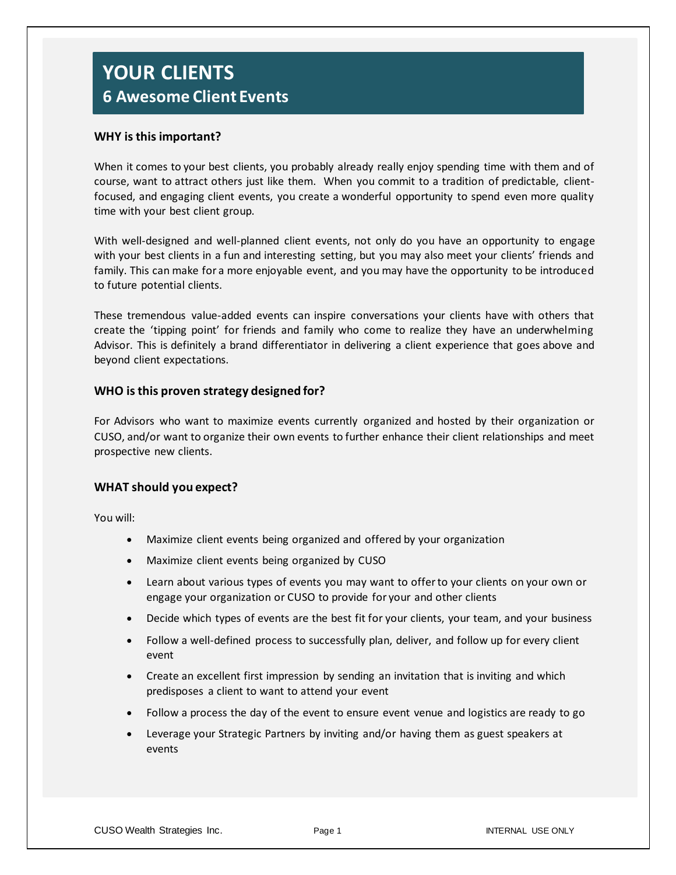## **YOUR CLIENTS 6 Awesome Client Events**

#### **WHY is this important?**

When it comes to your best clients, you probably already really enjoy spending time with them and of course, want to attract others just like them. When you commit to a tradition of predictable, clientfocused, and engaging client events, you create a wonderful opportunity to spend even more quality time with your best client group.

With well-designed and well-planned client events, not only do you have an opportunity to engage with your best clients in a fun and interesting setting, but you may also meet your clients' friends and family. This can make for a more enjoyable event, and you may have the opportunity to be introduced to future potential clients.

These tremendous value-added events can inspire conversations your clients have with others that create the 'tipping point' for friends and family who come to realize they have an underwhelming Advisor. This is definitely a brand differentiator in delivering a client experience that goes above and beyond client expectations.

#### **WHO is this proven strategy designed for?**

For Advisors who want to maximize events currently organized and hosted by their organization or CUSO, and/or want to organize their own events to further enhance their client relationships and meet prospective new clients.

#### **WHAT should you expect?**

You will:

- Maximize client events being organized and offered by your organization
- Maximize client events being organized by CUSO
- Learn about various types of events you may want to offer to your clients on your own or engage your organization or CUSO to provide for your and other clients
- Decide which types of events are the best fit for your clients, your team, and your business
- Follow a well-defined process to successfully plan, deliver, and follow up for every client event
- Create an excellent first impression by sending an invitation that is inviting and which predisposes a client to want to attend your event
- Follow a process the day of the event to ensure event venue and logistics are ready to go
- Leverage your Strategic Partners by inviting and/or having them as guest speakers at events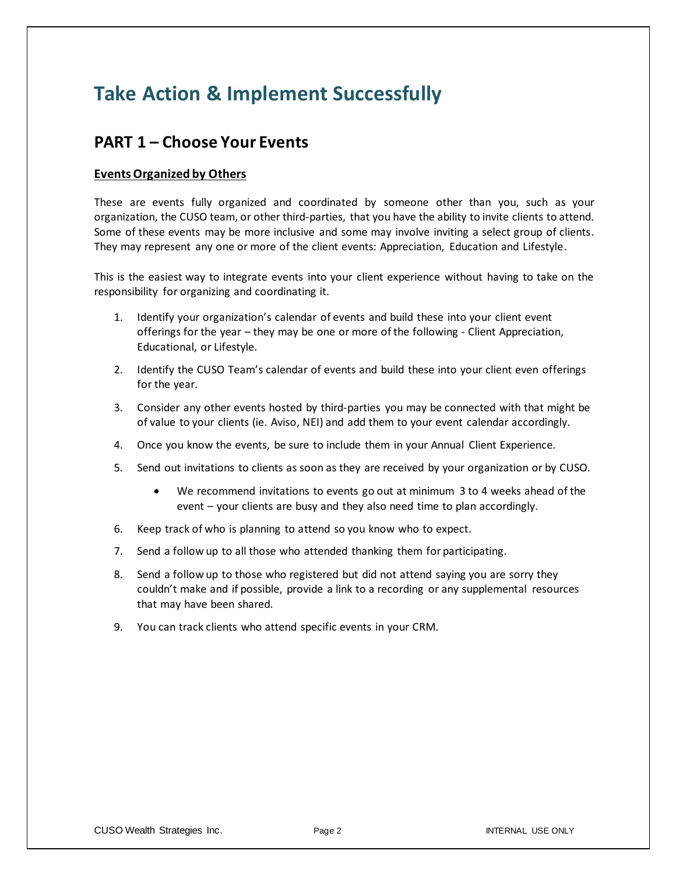# **Take Action & Implement Successfully**

## **PART 1 – Choose Your Events**

#### **Events Organized by Others**

These are events fully organized and coordinated by someone other than you, such as your organization, the CUSO team, or other third-parties, that you have the ability to invite clients to attend. Some of these events may be more inclusive and some may involve inviting a select group of clients. They may represent any one or more of the client events: Appreciation, Education and Lifestyle.

This is the easiest way to integrate events into your client experience without having to take on the responsibility for organizing and coordinating it.

- 1. Identify your organization's calendar of events and build these into your client event offerings for the year – they may be one or more of the following - Client Appreciation, Educational, or Lifestyle.
- 2. Identify the CUSO Team's calendar of events and build these into your client even offerings for the year.
- 3. Consider any other events hosted by third-parties you may be connected with that might be of value to your clients (ie. Aviso, NEI) and add them to your event calendar accordingly.
- 4. Once you know the events, be sure to include them in your Annual Client Experience.
- 5. Send out invitations to clients as soon as they are received by your organization or by CUSO.
	- We recommend invitations to events go out at minimum 3 to 4 weeks ahead of the event – your clients are busy and they also need time to plan accordingly.
- 6. Keep track of who is planning to attend so you know who to expect.
- 7. Send a follow up to all those who attended thanking them for participating.
- 8. Send a follow up to those who registered but did not attend saying you are sorry they couldn't make and if possible, provide a link to a recording or any supplemental resources that may have been shared.
- 9. You can track clients who attend specific events in your CRM.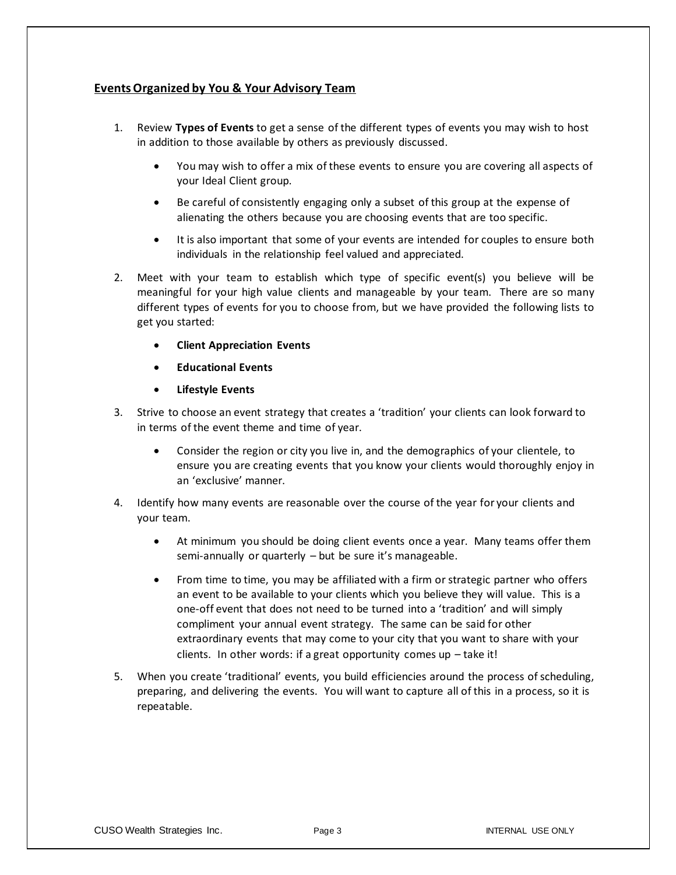#### **Events Organized by You & Your Advisory Team**

- 1. Review **Types of Events** to get a sense of the different types of events you may wish to host in addition to those available by others as previously discussed.
	- You may wish to offer a mix of these events to ensure you are covering all aspects of your Ideal Client group.
	- Be careful of consistently engaging only a subset of this group at the expense of alienating the others because you are choosing events that are too specific.
	- It is also important that some of your events are intended for couples to ensure both individuals in the relationship feel valued and appreciated.
- 2. Meet with your team to establish which type of specific event(s) you believe will be meaningful for your high value clients and manageable by your team. There are so many different types of events for you to choose from, but we have provided the following lists to get you started:
	- **Client Appreciation Events**
	- **Educational Events**
	- **Lifestyle Events**
- 3. Strive to choose an event strategy that creates a 'tradition' your clients can look forward to in terms of the event theme and time of year.
	- Consider the region or city you live in, and the demographics of your clientele, to ensure you are creating events that you know your clients would thoroughly enjoy in an 'exclusive' manner.
- 4. Identify how many events are reasonable over the course of the year for your clients and your team.
	- At minimum you should be doing client events once a year. Many teams offer them semi-annually or quarterly – but be sure it's manageable.
	- From time to time, you may be affiliated with a firm or strategic partner who offers an event to be available to your clients which you believe they will value. This is a one-off event that does not need to be turned into a 'tradition' and will simply compliment your annual event strategy. The same can be said for other extraordinary events that may come to your city that you want to share with your clients. In other words: if a great opportunity comes up  $-$  take it!
- 5. When you create 'traditional' events, you build efficiencies around the process of scheduling, preparing, and delivering the events. You will want to capture all of this in a process, so it is repeatable.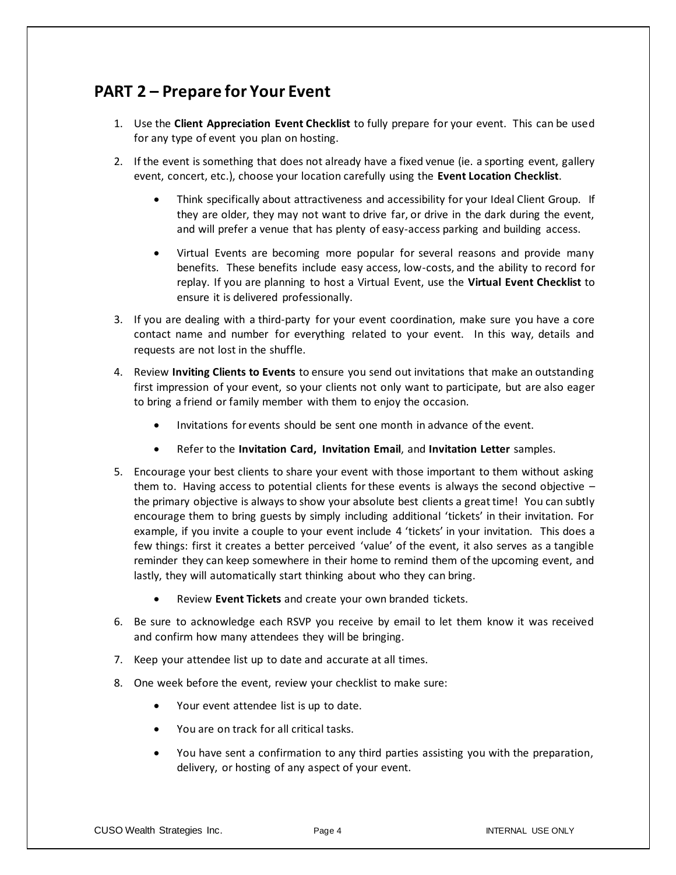## **PART 2 – Prepare for Your Event**

- 1. Use the **Client Appreciation Event Checklist** to fully prepare for your event. This can be used for any type of event you plan on hosting.
- 2. If the event is something that does not already have a fixed venue (ie. a sporting event, gallery event, concert, etc.), choose your location carefully using the **Event Location Checklist**.
	- Think specifically about attractiveness and accessibility for your Ideal Client Group. If they are older, they may not want to drive far, or drive in the dark during the event, and will prefer a venue that has plenty of easy-access parking and building access.
	- Virtual Events are becoming more popular for several reasons and provide many benefits. These benefits include easy access, low-costs, and the ability to record for replay. If you are planning to host a Virtual Event, use the **Virtual Event Checklist** to ensure it is delivered professionally.
- 3. If you are dealing with a third-party for your event coordination, make sure you have a core contact name and number for everything related to your event. In this way, details and requests are not lost in the shuffle.
- 4. Review **Inviting Clients to Events** to ensure you send out invitations that make an outstanding first impression of your event, so your clients not only want to participate, but are also eager to bring a friend or family member with them to enjoy the occasion.
	- Invitations for events should be sent one month in advance of the event.
	- Refer to the **Invitation Card, Invitation Email**, and **Invitation Letter** samples.
- 5. Encourage your best clients to share your event with those important to them without asking them to. Having access to potential clients for these events is always the second objective – the primary objective is always to show your absolute best clients a great time! You can subtly encourage them to bring guests by simply including additional 'tickets' in their invitation. For example, if you invite a couple to your event include 4 'tickets' in your invitation. This does a few things: first it creates a better perceived 'value' of the event, it also serves as a tangible reminder they can keep somewhere in their home to remind them of the upcoming event, and lastly, they will automatically start thinking about who they can bring.
	- Review **Event Tickets** and create your own branded tickets.
- 6. Be sure to acknowledge each RSVP you receive by email to let them know it was received and confirm how many attendees they will be bringing.
- 7. Keep your attendee list up to date and accurate at all times.
- 8. One week before the event, review your checklist to make sure:
	- Your event attendee list is up to date.
	- You are on track for all critical tasks.
	- You have sent a confirmation to any third parties assisting you with the preparation, delivery, or hosting of any aspect of your event.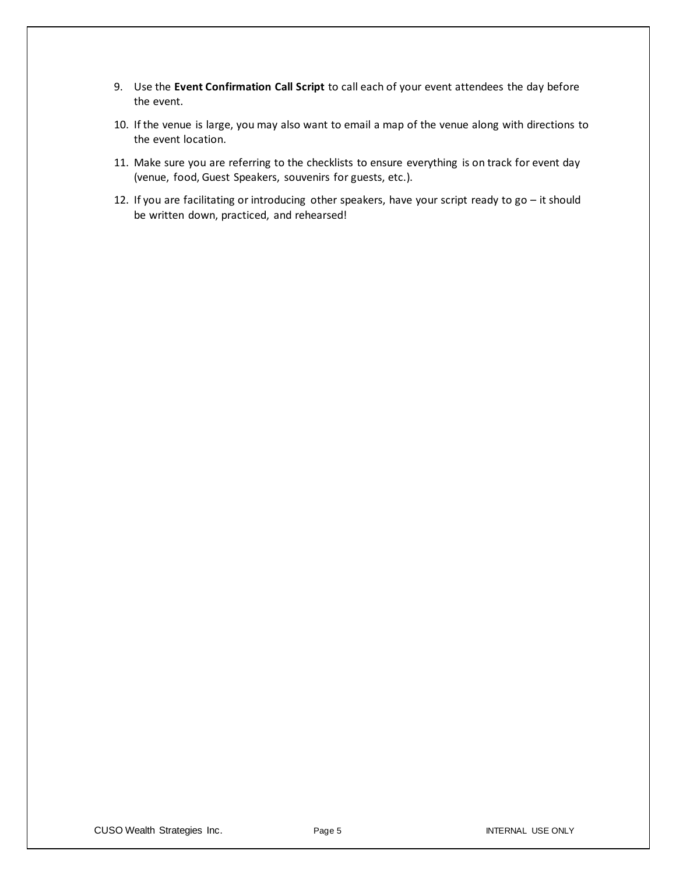- 9. Use the **Event Confirmation Call Script** to call each of your event attendees the day before the event.
- 10. If the venue is large, you may also want to email a map of the venue along with directions to the event location.
- 11. Make sure you are referring to the checklists to ensure everything is on track for event day (venue, food, Guest Speakers, souvenirs for guests, etc.).
- 12. If you are facilitating or introducing other speakers, have your script ready to go it should be written down, practiced, and rehearsed!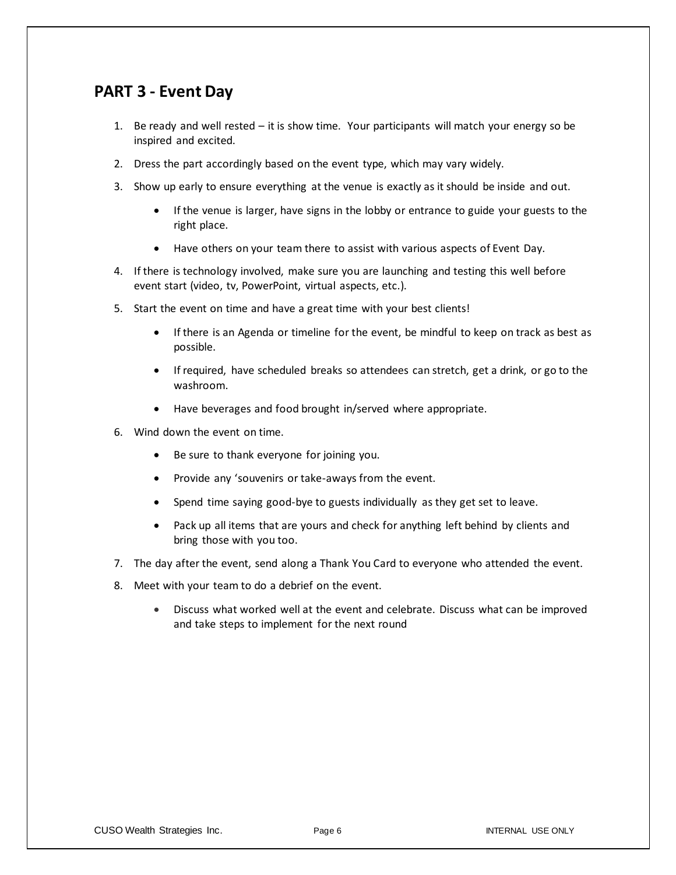## **PART 3 - Event Day**

- 1. Be ready and well rested it is show time. Your participants will match your energy so be inspired and excited.
- 2. Dress the part accordingly based on the event type, which may vary widely.
- 3. Show up early to ensure everything at the venue is exactly as it should be inside and out.
	- If the venue is larger, have signs in the lobby or entrance to guide your guests to the right place.
	- Have others on your team there to assist with various aspects of Event Day.
- 4. If there is technology involved, make sure you are launching and testing this well before event start (video, tv, PowerPoint, virtual aspects, etc.).
- 5. Start the event on time and have a great time with your best clients!
	- If there is an Agenda or timeline for the event, be mindful to keep on track as best as possible.
	- If required, have scheduled breaks so attendees can stretch, get a drink, or go to the washroom.
	- Have beverages and food brought in/served where appropriate.
- 6. Wind down the event on time.
	- Be sure to thank everyone for joining you.
	- Provide any 'souvenirs or take-aways from the event.
	- Spend time saying good-bye to guests individually as they get set to leave.
	- Pack up all items that are yours and check for anything left behind by clients and bring those with you too.
- 7. The day after the event, send along a Thank You Card to everyone who attended the event.
- 8. Meet with your team to do a debrief on the event.
	- Discuss what worked well at the event and celebrate. Discuss what can be improved and take steps to implement for the next round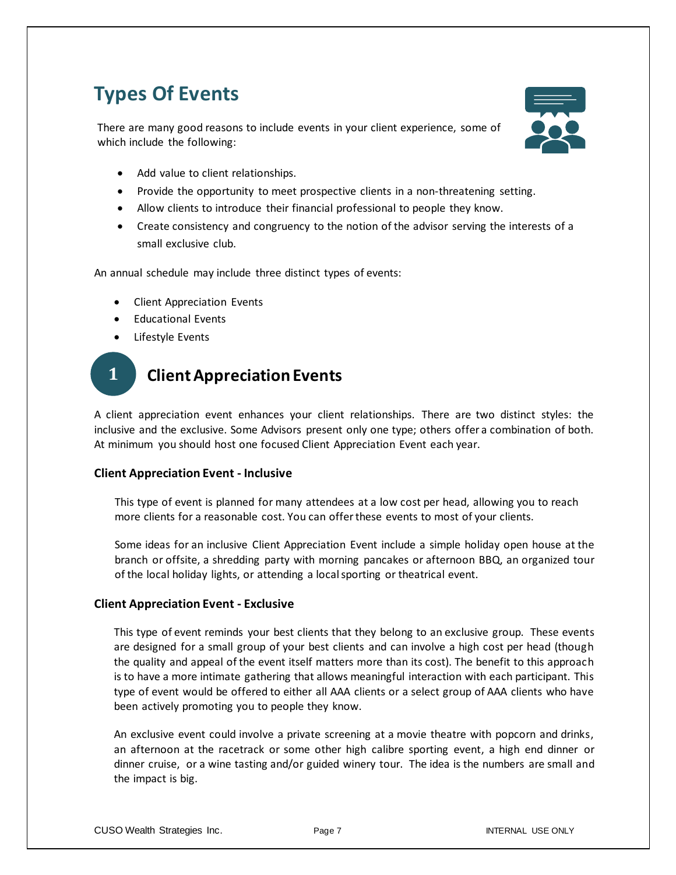# **Types Of Events**

There are many good reasons to include events in your client experience, some of which include the following:



- Add value to client relationships.
- Provide the opportunity to meet prospective clients in a non-threatening setting.
- Allow clients to introduce their financial professional to people they know.
- Create consistency and congruency to the notion of the advisor serving the interests of a small exclusive club.

An annual schedule may include three distinct types of events:

- Client Appreciation Events
- Educational Events
- Lifestyle Events

## **Client Appreciation Events 1**

A client appreciation event enhances your client relationships. There are two distinct styles: the inclusive and the exclusive. Some Advisors present only one type; others offer a combination of both. At minimum you should host one focused Client Appreciation Event each year.

#### **Client Appreciation Event - Inclusive**

This type of event is planned for many attendees at a low cost per head, allowing you to reach more clients for a reasonable cost. You can offer these events to most of your clients.

Some ideas for an inclusive Client Appreciation Event include a simple holiday open house at the branch or offsite, a shredding party with morning pancakes or afternoon BBQ, an organized tour of the local holiday lights, or attending a local sporting or theatrical event.

#### **Client Appreciation Event - Exclusive**

This type of event reminds your best clients that they belong to an exclusive group. These events are designed for a small group of your best clients and can involve a high cost per head (though the quality and appeal of the event itself matters more than its cost). The benefit to this approach is to have a more intimate gathering that allows meaningful interaction with each participant. This type of event would be offered to either all AAA clients or a select group of AAA clients who have been actively promoting you to people they know.

An exclusive event could involve a private screening at a movie theatre with popcorn and drinks, an afternoon at the racetrack or some other high calibre sporting event, a high end dinner or dinner cruise, or a wine tasting and/or guided winery tour. The idea is the numbers are small and the impact is big.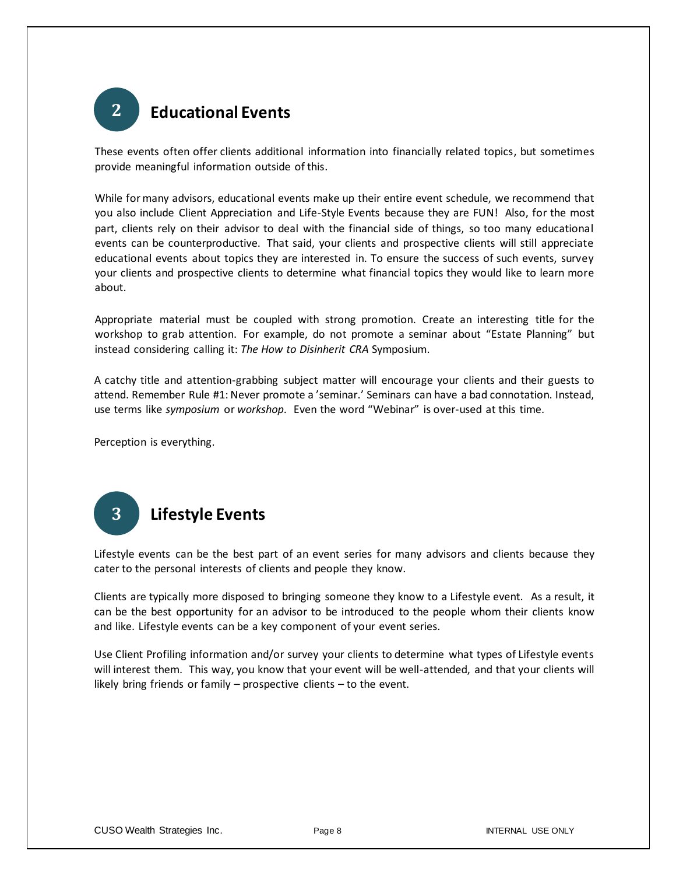

These events often offer clients additional information into financially related topics, but sometimes provide meaningful information outside of this.

While for many advisors, educational events make up their entire event schedule, we recommend that you also include Client Appreciation and Life-Style Events because they are FUN! Also, for the most part, clients rely on their advisor to deal with the financial side of things, so too many educational events can be counterproductive. That said, your clients and prospective clients will still appreciate educational events about topics they are interested in. To ensure the success of such events, survey your clients and prospective clients to determine what financial topics they would like to learn more about.

Appropriate material must be coupled with strong promotion. Create an interesting title for the workshop to grab attention. For example, do not promote a seminar about "Estate Planning" but instead considering calling it: *The How to Disinherit CRA* Symposium.

A catchy title and attention-grabbing subject matter will encourage your clients and their guests to attend. Remember Rule #1: Never promote a 'seminar.' Seminars can have a bad connotation. Instead, use terms like *symposium* or *workshop*. Even the word "Webinar" is over-used at this time.

Perception is everything.



Lifestyle events can be the best part of an event series for many advisors and clients because they cater to the personal interests of clients and people they know.

Clients are typically more disposed to bringing someone they know to a Lifestyle event. As a result, it can be the best opportunity for an advisor to be introduced to the people whom their clients know and like. Lifestyle events can be a key component of your event series.

Use Client Profiling information and/or survey your clients to determine what types of Lifestyle events will interest them. This way, you know that your event will be well-attended, and that your clients will likely bring friends or family – prospective clients – to the event.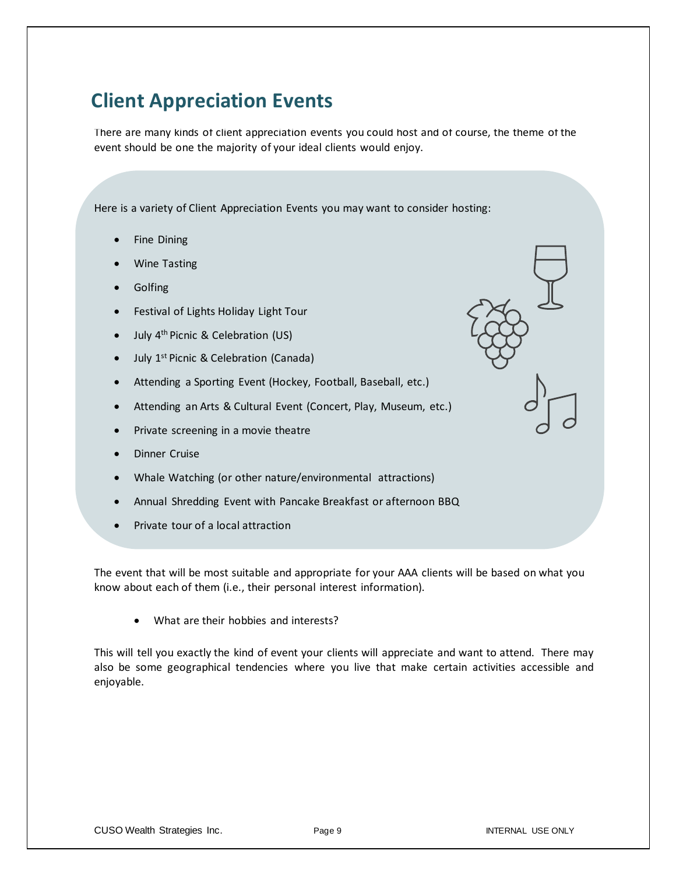# **Client Appreciation Events**

There are many kinds of client appreciation events you could host and of course, the theme of the event should be one the majority of your ideal clients would enjoy.

Here is a variety of Client Appreciation Events you may want to consider hosting:

- Fine Dining
- Wine Tasting
- **Golfing**
- Festival of Lights Holiday Light Tour
- July 4<sup>th</sup> Picnic & Celebration (US)
- July 1<sup>st</sup> Picnic & Celebration (Canada)
- Attending a Sporting Event (Hockey, Football, Baseball, etc.)
- Attending an Arts & Cultural Event (Concert, Play, Museum, etc.)
- Private screening in a movie theatre
- Dinner Cruise
- Whale Watching (or other nature/environmental attractions)
- Annual Shredding Event with Pancake Breakfast or afternoon BBQ
- Private tour of a local attraction

The event that will be most suitable and appropriate for your AAA clients will be based on what you know about each of them (i.e., their personal interest information).

• What are their hobbies and interests?

This will tell you exactly the kind of event your clients will appreciate and want to attend. There may also be some geographical tendencies where you live that make certain activities accessible and enjoyable.

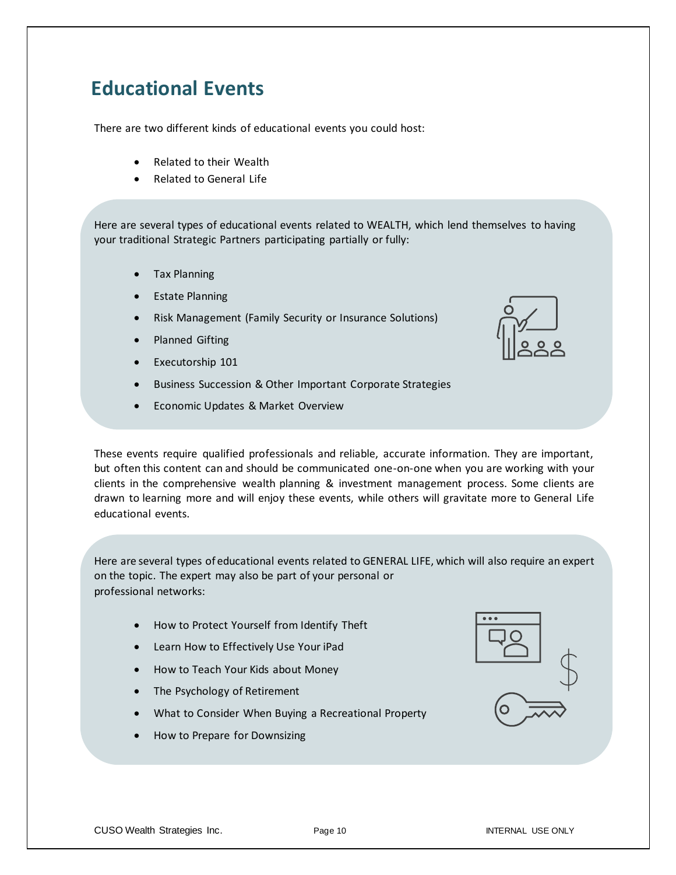# **Educational Events**

There are two different kinds of educational events you could host:

- Related to their Wealth
- Related to General Life

Here are several types of educational events related to WEALTH, which lend themselves to having your traditional Strategic Partners participating partially or fully:

- Tax Planning
- **Estate Planning**
- Risk Management (Family Security or Insurance Solutions)
- Planned Gifting
- Executorship 101
- Business Succession & Other Important Corporate Strategies
- Economic Updates & Market Overview

These events require qualified professionals and reliable, accurate information. They are important, but often this content can and should be communicated one-on-one when you are working with your clients in the comprehensive wealth planning & investment management process. Some clients are drawn to learning more and will enjoy these events, while others will gravitate more to General Life educational events.

Here are several types of educational events related to GENERAL LIFE, which will also require an expert on the topic. The expert may also be part of your personal or professional networks:

- How to Protect Yourself from Identify Theft
- Learn How to Effectively Use Your iPad
- How to Teach Your Kids about Money
- The Psychology of Retirement
- What to Consider When Buying a Recreational Property
- How to Prepare for Downsizing

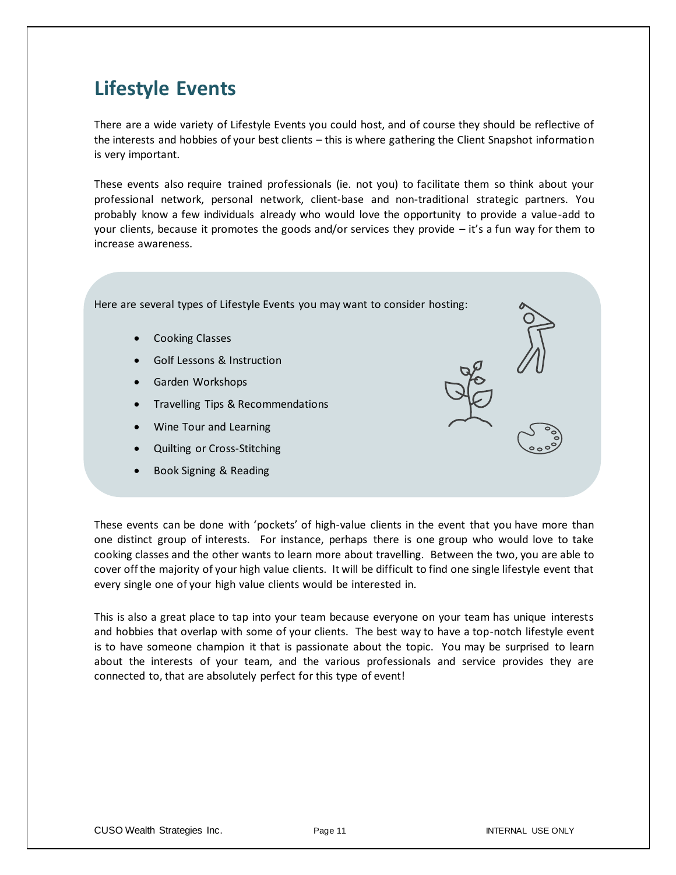# **Lifestyle Events**

There are a wide variety of Lifestyle Events you could host, and of course they should be reflective of the interests and hobbies of your best clients – this is where gathering the Client Snapshot information is very important.

These events also require trained professionals (ie. not you) to facilitate them so think about your professional network, personal network, client-base and non-traditional strategic partners. You probably know a few individuals already who would love the opportunity to provide a value-add to your clients, because it promotes the goods and/or services they provide – it's a fun way for them to increase awareness.

Here are several types of Lifestyle Events you may want to consider hosting:

- Cooking Classes
- Golf Lessons & Instruction
- Garden Workshops
- Travelling Tips & Recommendations
- Wine Tour and Learning
- Quilting or Cross-Stitching
- Book Signing & Reading

These events can be done with 'pockets' of high-value clients in the event that you have more than one distinct group of interests. For instance, perhaps there is one group who would love to take cooking classes and the other wants to learn more about travelling. Between the two, you are able to cover off the majority of your high value clients. It will be difficult to find one single lifestyle event that every single one of your high value clients would be interested in.

This is also a great place to tap into your team because everyone on your team has unique interests and hobbies that overlap with some of your clients. The best way to have a top-notch lifestyle event is to have someone champion it that is passionate about the topic. You may be surprised to learn about the interests of your team, and the various professionals and service provides they are connected to, that are absolutely perfect for this type of event!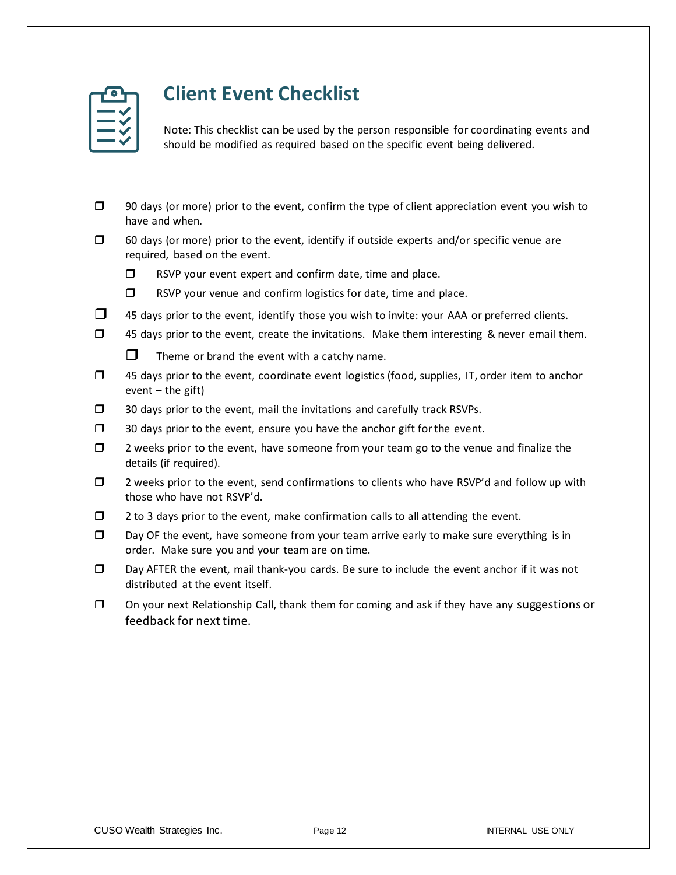

# **Client Event Checklist**

Note: This checklist can be used by the person responsible for coordinating events and should be modified as required based on the specific event being delivered.

- $\Box$  90 days (or more) prior to the event, confirm the type of client appreciation event you wish to have and when.
- $\Box$  60 days (or more) prior to the event, identify if outside experts and/or specific venue are required, based on the event.
	- $\Box$  RSVP your event expert and confirm date, time and place.
	- $\Box$  RSVP your venue and confirm logistics for date, time and place.
- $\Box$  45 days prior to the event, identify those you wish to invite: your AAA or preferred clients.
- $\Box$  45 days prior to the event, create the invitations. Make them interesting & never email them.
	- $\Box$  Theme or brand the event with a catchy name.
- $\Box$  45 days prior to the event, coordinate event logistics (food, supplies, IT, order item to anchor event  $-$  the gift)
- $\Box$  30 days prior to the event, mail the invitations and carefully track RSVPs.
- $\Box$  30 days prior to the event, ensure you have the anchor gift for the event.
- $\Box$  2 weeks prior to the event, have someone from your team go to the venue and finalize the details (if required).
- $\Box$  2 weeks prior to the event, send confirmations to clients who have RSVP'd and follow up with those who have not RSVP'd.
- $\Box$  2 to 3 days prior to the event, make confirmation calls to all attending the event.
- $\square$  Day OF the event, have someone from your team arrive early to make sure everything is in order. Make sure you and your team are on time.
- Day AFTER the event, mail thank-you cards. Be sure to include the event anchor if it was not distributed at the event itself.
- $\Box$  On your next Relationship Call, thank them for coming and ask if they have any suggestions or feedback for next time.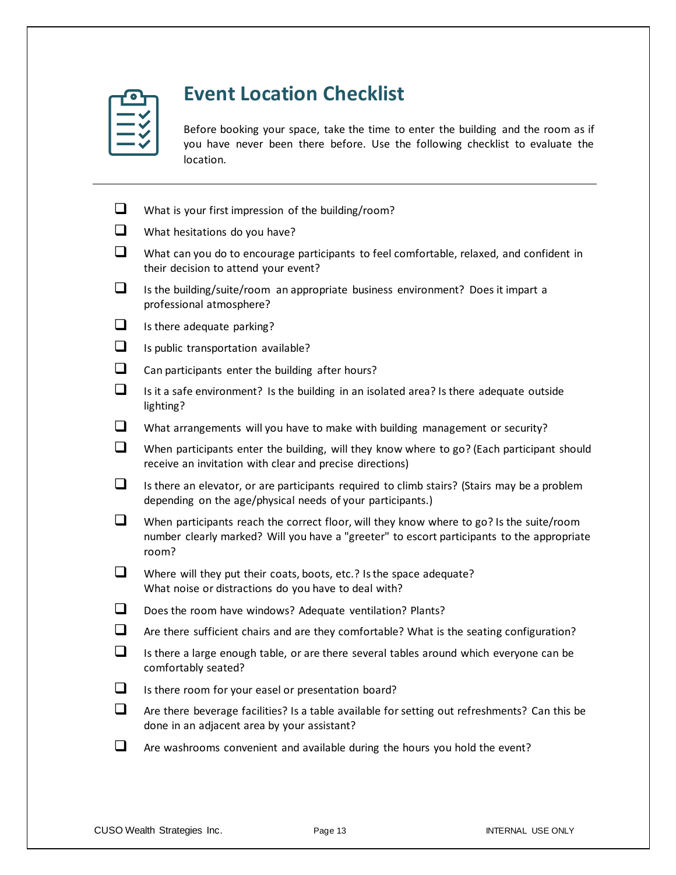# **Event Location Checklist**

Before booking your space, take the time to enter the building and the room as if you have never been there before. Use the following checklist to evaluate the location.

| $\Box$ | What is your first impression of the building/room?                                                                                                                                             |
|--------|-------------------------------------------------------------------------------------------------------------------------------------------------------------------------------------------------|
| $\Box$ | What hesitations do you have?                                                                                                                                                                   |
| $\Box$ | What can you do to encourage participants to feel comfortable, relaxed, and confident in<br>their decision to attend your event?                                                                |
| $\Box$ | Is the building/suite/room an appropriate business environment? Does it impart a<br>professional atmosphere?                                                                                    |
| ப      | Is there adequate parking?                                                                                                                                                                      |
| $\Box$ | Is public transportation available?                                                                                                                                                             |
| $\Box$ | Can participants enter the building after hours?                                                                                                                                                |
| $\Box$ | Is it a safe environment? Is the building in an isolated area? Is there adequate outside<br>lighting?                                                                                           |
| ப      | What arrangements will you have to make with building management or security?                                                                                                                   |
| $\Box$ | When participants enter the building, will they know where to go? (Each participant should<br>receive an invitation with clear and precise directions)                                          |
| ❏      | Is there an elevator, or are participants required to climb stairs? (Stairs may be a problem<br>depending on the age/physical needs of your participants.)                                      |
| ❏      | When participants reach the correct floor, will they know where to go? Is the suite/room<br>number clearly marked? Will you have a "greeter" to escort participants to the appropriate<br>room? |
| $\Box$ | Where will they put their coats, boots, etc.? Is the space adequate?<br>What noise or distractions do you have to deal with?                                                                    |
| ப      | Does the room have windows? Adequate ventilation? Plants?                                                                                                                                       |
| $\Box$ | Are there sufficient chairs and are they comfortable? What is the seating configuration?                                                                                                        |
| $\Box$ | Is there a large enough table, or are there several tables around which everyone can be<br>comfortably seated?                                                                                  |
| ப      | Is there room for your easel or presentation board?                                                                                                                                             |
| $\Box$ | Are there beverage facilities? Is a table available for setting out refreshments? Can this be<br>done in an adjacent area by your assistant?                                                    |
| $\Box$ | Are washrooms convenient and available during the hours you hold the event?                                                                                                                     |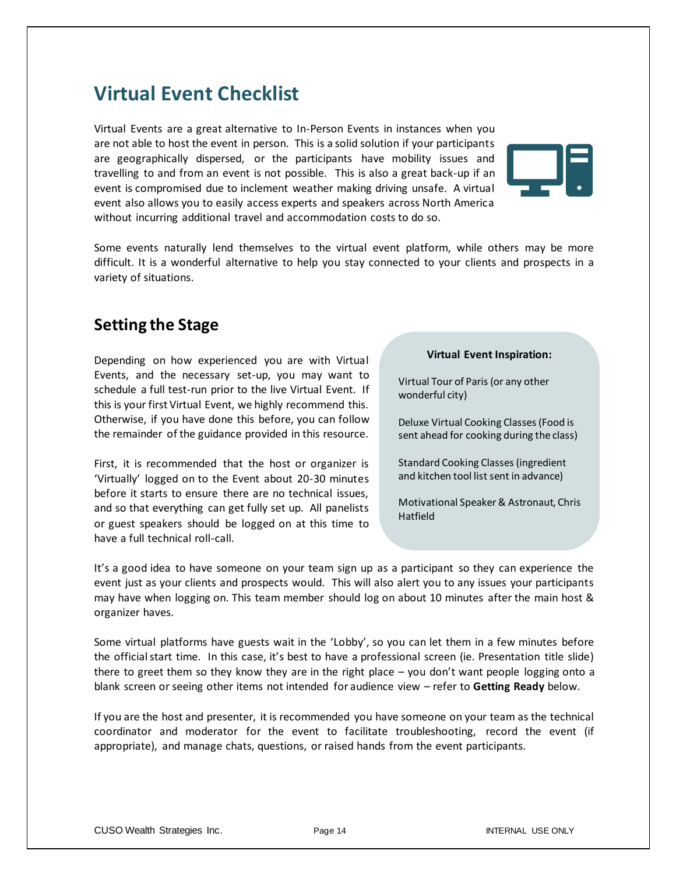## **Virtual Event Checklist**

Virtual Events are a great alternative to In-Person Events in instances when you are not able to host the event in person. This is a solid solution if your participants are geographically dispersed, or the participants have mobility issues and travelling to and from an event is not possible. This is also a great back-up if an event is compromised due to inclement weather making driving unsafe. A virtual event also allows you to easily access experts and speakers across North America without incurring additional travel and accommodation costs to do so.



Some events naturally lend themselves to the virtual event platform, while others may be more difficult. It is a wonderful alternative to help you stay connected to your clients and prospects in a variety of situations.

## **Setting the Stage**

Depending on how experienced you are with Virtual Events, and the necessary set-up, you may want to schedule a full test-run prior to the live Virtual Event. If this is your first Virtual Event, we highly recommend this. Otherwise, if you have done this before, you can follow the remainder of the guidance provided in this resource.

First, it is recommended that the host or organizer is 'Virtually' logged on to the Event about 20-30 minutes before it starts to ensure there are no technical issues, and so that everything can get fully set up. All panelists or guest speakers should be logged on at this time to have a full technical roll-call.

#### **Virtual Event Inspiration:**

Virtual Tour of Paris (or any other wonderful city)

Deluxe Virtual Cooking Classes (Food is sent ahead for cooking during the class)

Standard Cooking Classes (ingredient and kitchen tool list sent in advance)

Motivational Speaker & Astronaut, Chris Hatfield

It's a good idea to have someone on your team sign up as a participant so they can experience the event just as your clients and prospects would. This will also alert you to any issues your participants may have when logging on. This team member should log on about 10 minutes after the main host & organizer haves.

Some virtual platforms have guests wait in the 'Lobby', so you can let them in a few minutes before the official start time. In this case, it's best to have a professional screen (ie. Presentation title slide) there to greet them so they know they are in the right place – you don't want people logging onto a blank screen or seeing other items not intended for audience view – refer to **Getting Ready** below.

If you are the host and presenter, it is recommended you have someone on your team as the technical coordinator and moderator for the event to facilitate troubleshooting, record the event (if appropriate), and manage chats, questions, or raised hands from the event participants.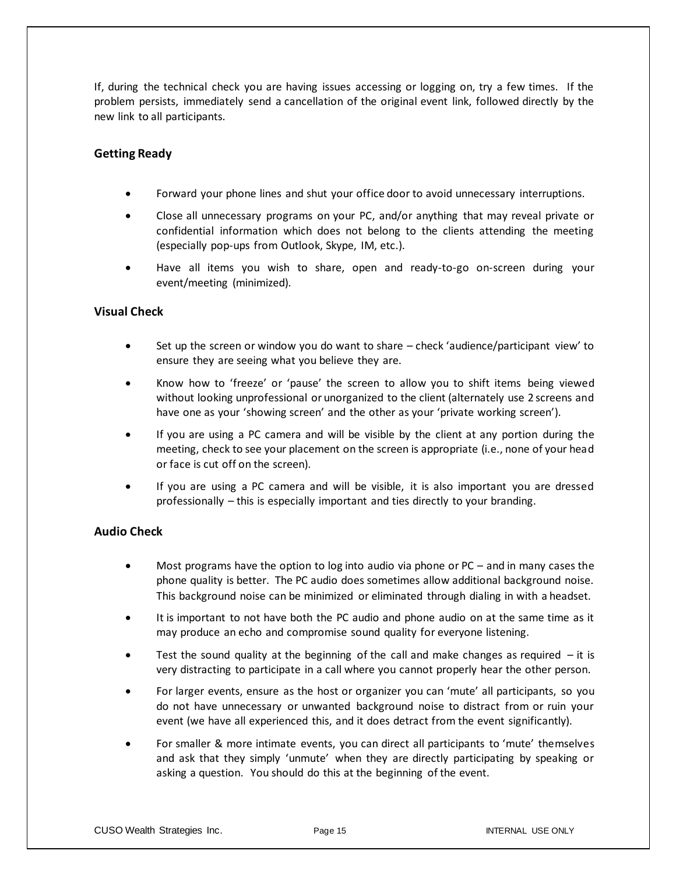If, during the technical check you are having issues accessing or logging on, try a few times. If the problem persists, immediately send a cancellation of the original event link, followed directly by the new link to all participants.

#### **Getting Ready**

- Forward your phone lines and shut your office door to avoid unnecessary interruptions.
- Close all unnecessary programs on your PC, and/or anything that may reveal private or confidential information which does not belong to the clients attending the meeting (especially pop-ups from Outlook, Skype, IM, etc.).
- Have all items you wish to share, open and ready-to-go on-screen during your event/meeting (minimized).

#### **Visual Check**

- Set up the screen or window you do want to share check 'audience/participant view' to ensure they are seeing what you believe they are.
- Know how to 'freeze' or 'pause' the screen to allow you to shift items being viewed without looking unprofessional or unorganized to the client (alternately use 2 screens and have one as your 'showing screen' and the other as your 'private working screen').
- If you are using a PC camera and will be visible by the client at any portion during the meeting, check to see your placement on the screen is appropriate (i.e., none of your head or face is cut off on the screen).
- If you are using a PC camera and will be visible, it is also important you are dressed professionally – this is especially important and ties directly to your branding.

#### **Audio Check**

- Most programs have the option to log into audio via phone or PC and in many cases the phone quality is better. The PC audio does sometimes allow additional background noise. This background noise can be minimized or eliminated through dialing in with a headset.
- It is important to not have both the PC audio and phone audio on at the same time as it may produce an echo and compromise sound quality for everyone listening.
- Test the sound quality at the beginning of the call and make changes as required  $-$  it is very distracting to participate in a call where you cannot properly hear the other person.
- For larger events, ensure as the host or organizer you can 'mute' all participants, so you do not have unnecessary or unwanted background noise to distract from or ruin your event (we have all experienced this, and it does detract from the event significantly).
- For smaller & more intimate events, you can direct all participants to 'mute' themselves and ask that they simply 'unmute' when they are directly participating by speaking or asking a question. You should do this at the beginning of the event.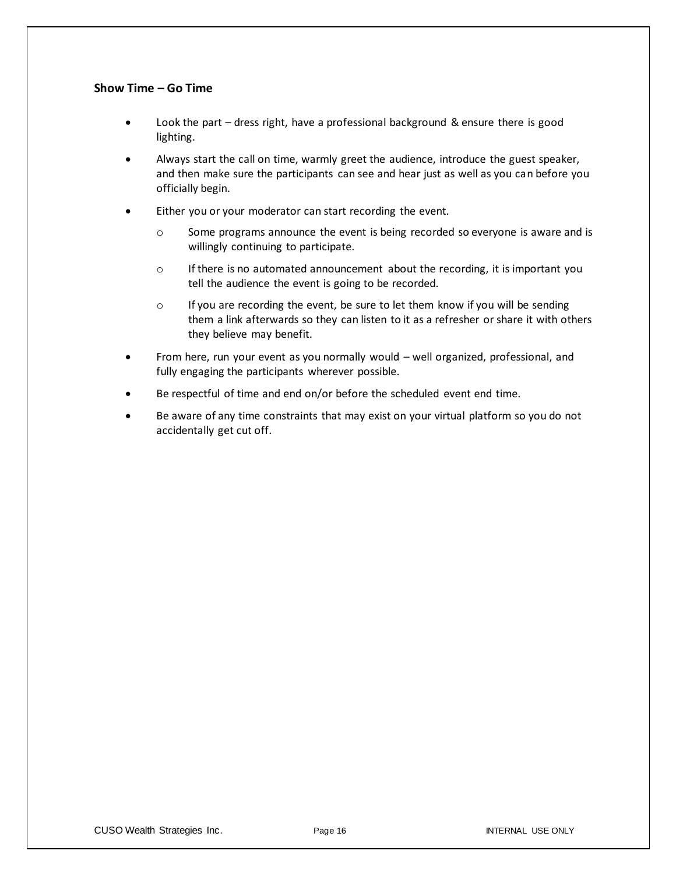#### **Show Time – Go Time**

- Look the part dress right, have a professional background & ensure there is good lighting.
- Always start the call on time, warmly greet the audience, introduce the guest speaker, and then make sure the participants can see and hear just as well as you can before you officially begin.
- Either you or your moderator can start recording the event.
	- o Some programs announce the event is being recorded so everyone is aware and is willingly continuing to participate.
	- o If there is no automated announcement about the recording, it is important you tell the audience the event is going to be recorded.
	- $\circ$  If you are recording the event, be sure to let them know if you will be sending them a link afterwards so they can listen to it as a refresher or share it with others they believe may benefit.
- From here, run your event as you normally would well organized, professional, and fully engaging the participants wherever possible.
- Be respectful of time and end on/or before the scheduled event end time.
- Be aware of any time constraints that may exist on your virtual platform so you do not accidentally get cut off.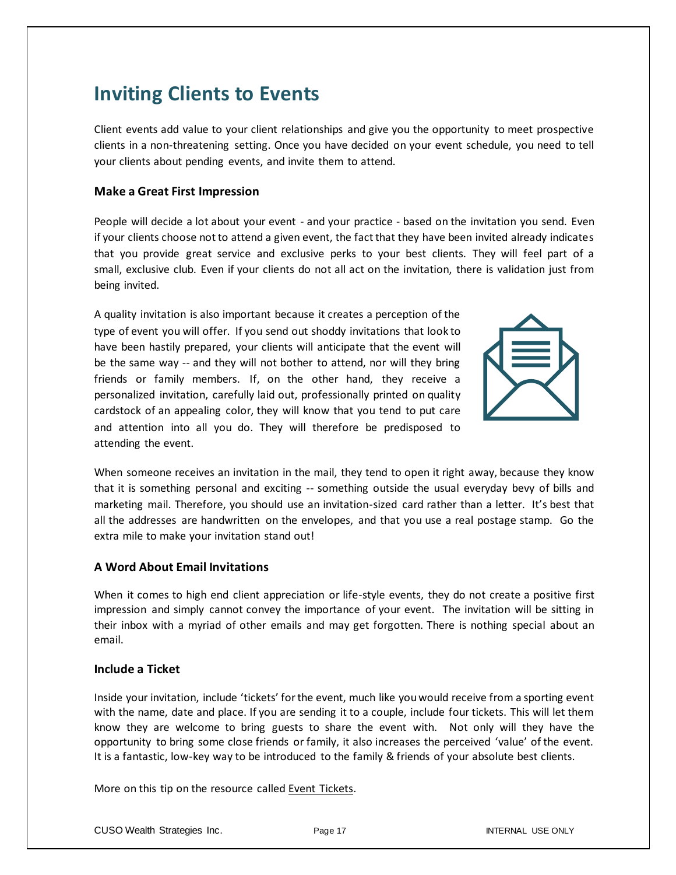# **Inviting Clients to Events**

Client events add value to your client relationships and give you the opportunity to meet prospective clients in a non-threatening setting. Once you have decided on your event schedule, you need to tell your clients about pending events, and invite them to attend.

#### **Make a Great First Impression**

People will decide a lot about your event - and your practice - based on the invitation you send. Even if your clients choose not to attend a given event, the fact that they have been invited already indicates that you provide great service and exclusive perks to your best clients. They will feel part of a small, exclusive club. Even if your clients do not all act on the invitation, there is validation just from being invited.

A quality invitation is also important because it creates a perception of the type of event you will offer. If you send out shoddy invitations that look to have been hastily prepared, your clients will anticipate that the event will be the same way -- and they will not bother to attend, nor will they bring friends or family members. If, on the other hand, they receive a personalized invitation, carefully laid out, professionally printed on quality cardstock of an appealing color, they will know that you tend to put care and attention into all you do. They will therefore be predisposed to attending the event.



When someone receives an invitation in the mail, they tend to open it right away, because they know that it is something personal and exciting -- something outside the usual everyday bevy of bills and marketing mail. Therefore, you should use an invitation-sized card rather than a letter. It's best that all the addresses are handwritten on the envelopes, and that you use a real postage stamp. Go the extra mile to make your invitation stand out!

#### **A Word About Email Invitations**

When it comes to high end client appreciation or life-style events, they do not create a positive first impression and simply cannot convey the importance of your event. The invitation will be sitting in their inbox with a myriad of other emails and may get forgotten. There is nothing special about an email.

#### **Include a Ticket**

Inside your invitation, include 'tickets' for the event, much like you would receive from a sporting event with the name, date and place. If you are sending it to a couple, include four tickets. This will let them know they are welcome to bring guests to share the event with. Not only will they have the opportunity to bring some close friends or family, it also increases the perceived 'value' of the event. It is a fantastic, low-key way to be introduced to the family & friends of your absolute best clients.

More on this tip on the resource called **Event Tickets**.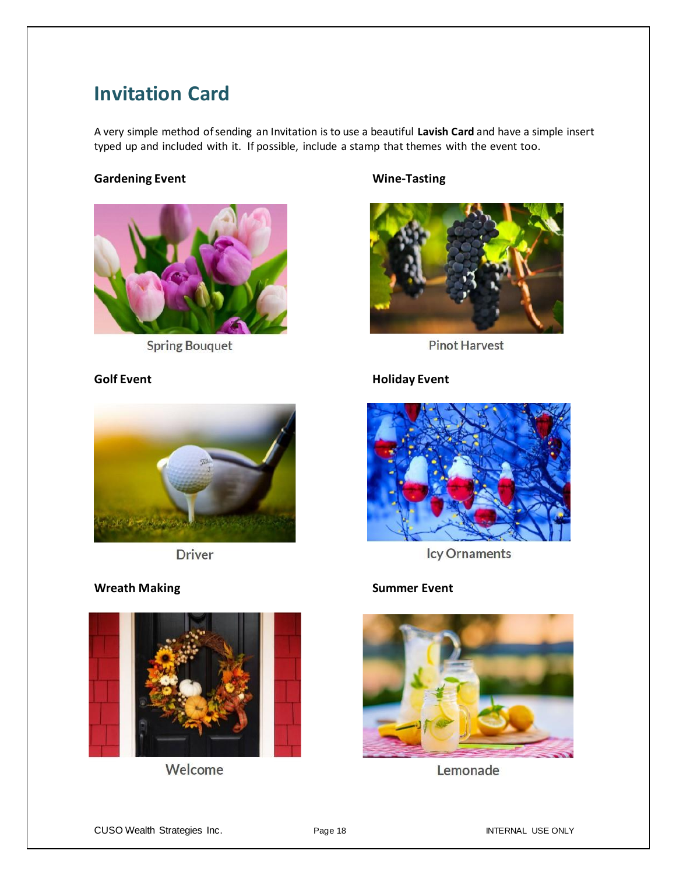## **Invitation Card**

A very simple method of sending an Invitation is to use a beautiful **Lavish Card** and have a simple insert typed up and included with it. If possible, include a stamp that themes with the event too.

### **Gardening Event Wine-Tasting**



**Spring Bouquet** 



**Pinot Harvest** 

### **Golf Event Golf Event**



**Driver** 

### **Wreath Making Summer Event**



Welcome



**Icy Ornaments** 



Lemonade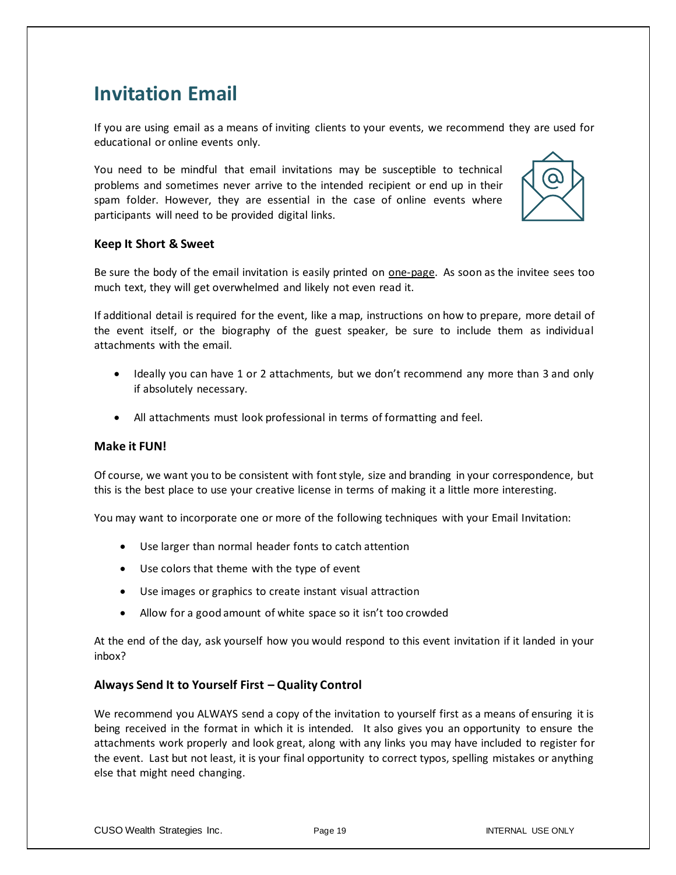## **Invitation Email**

If you are using email as a means of inviting clients to your events, we recommend they are used for educational or online events only.

You need to be mindful that email invitations may be susceptible to technical problems and sometimes never arrive to the intended recipient or end up in their spam folder. However, they are essential in the case of online events where participants will need to be provided digital links.



#### **Keep It Short & Sweet**

Be sure the body of the email invitation is easily printed on one-page. As soon as the invitee sees too much text, they will get overwhelmed and likely not even read it.

If additional detail is required for the event, like a map, instructions on how to prepare, more detail of the event itself, or the biography of the guest speaker, be sure to include them as individual attachments with the email.

- Ideally you can have 1 or 2 attachments, but we don't recommend any more than 3 and only if absolutely necessary.
- All attachments must look professional in terms of formatting and feel.

#### **Make it FUN!**

Of course, we want you to be consistent with font style, size and branding in your correspondence, but this is the best place to use your creative license in terms of making it a little more interesting.

You may want to incorporate one or more of the following techniques with your Email Invitation:

- Use larger than normal header fonts to catch attention
- Use colors that theme with the type of event
- Use images or graphics to create instant visual attraction
- Allow for a good amount of white space so it isn't too crowded

At the end of the day, ask yourself how you would respond to this event invitation if it landed in your inbox?

#### **Always Send It to Yourself First – Quality Control**

We recommend you ALWAYS send a copy of the invitation to yourself first as a means of ensuring it is being received in the format in which it is intended. It also gives you an opportunity to ensure the attachments work properly and look great, along with any links you may have included to register for the event. Last but not least, it is your final opportunity to correct typos, spelling mistakes or anything else that might need changing.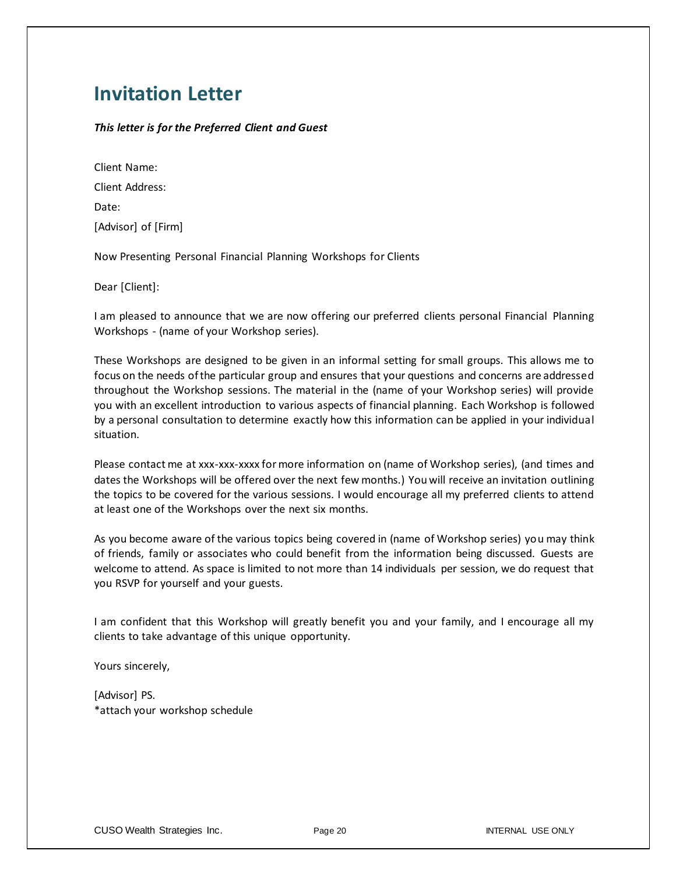## **Invitation Letter**

#### *This letter is for the Preferred Client and Guest*

| Client Name:        |  |
|---------------------|--|
| Client Address:     |  |
| Date:               |  |
| [Advisor] of [Firm] |  |
|                     |  |

Now Presenting Personal Financial Planning Workshops for Clients

Dear [Client]:

I am pleased to announce that we are now offering our preferred clients personal Financial Planning Workshops - (name of your Workshop series).

These Workshops are designed to be given in an informal setting for small groups. This allows me to focus on the needs of the particular group and ensures that your questions and concerns are addressed throughout the Workshop sessions. The material in the (name of your Workshop series) will provide you with an excellent introduction to various aspects of financial planning. Each Workshop is followed by a personal consultation to determine exactly how this information can be applied in your individual situation.

Please contact me at xxx-xxx-xxxx for more information on (name of Workshop series), (and times and dates the Workshops will be offered over the next few months.) You will receive an invitation outlining the topics to be covered for the various sessions. I would encourage all my preferred clients to attend at least one of the Workshops over the next six months.

As you become aware of the various topics being covered in (name of Workshop series) you may think of friends, family or associates who could benefit from the information being discussed. Guests are welcome to attend. As space is limited to not more than 14 individuals per session, we do request that you RSVP for yourself and your guests.

I am confident that this Workshop will greatly benefit you and your family, and I encourage all my clients to take advantage of this unique opportunity.

Yours sincerely,

[Advisor] PS. \*attach your workshop schedule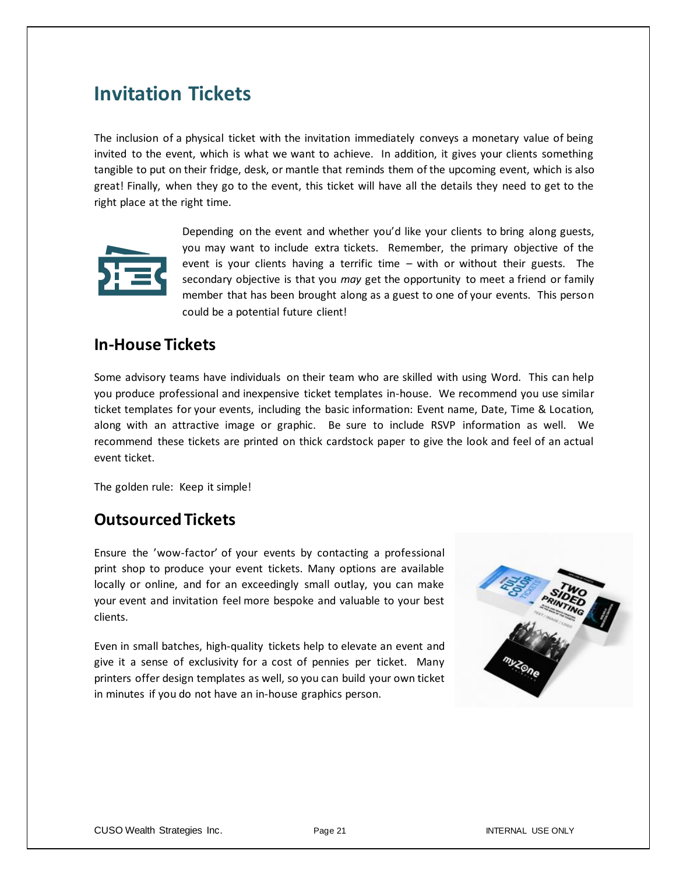## **Invitation Tickets**

The inclusion of a physical ticket with the invitation immediately conveys a monetary value of being invited to the event, which is what we want to achieve. In addition, it gives your clients something tangible to put on their fridge, desk, or mantle that reminds them of the upcoming event, which is also great! Finally, when they go to the event, this ticket will have all the details they need to get to the right place at the right time.



Depending on the event and whether you'd like your clients to bring along guests, you may want to include extra tickets. Remember, the primary objective of the event is your clients having a terrific time – with or without their guests. The secondary objective is that you *may* get the opportunity to meet a friend or family member that has been brought along as a guest to one of your events. This person could be a potential future client!

## **In-House Tickets**

Some advisory teams have individuals on their team who are skilled with using Word. This can help you produce professional and inexpensive ticket templates in-house. We recommend you use similar ticket templates for your events, including the basic information: Event name, Date, Time & Location, along with an attractive image or graphic. Be sure to include RSVP information as well. We recommend these tickets are printed on thick cardstock paper to give the look and feel of an actual event ticket.

The golden rule: Keep it simple!

## **Outsourced Tickets**

Ensure the 'wow-factor' of your events by contacting a professional print shop to produce your event tickets. Many options are available locally or online, and for an exceedingly small outlay, you can make your event and invitation feel more bespoke and valuable to your best clients.

Even in small batches, high-quality tickets help to elevate an event and give it a sense of exclusivity for a cost of pennies per ticket. Many printers offer design templates as well, so you can build your own ticket in minutes if you do not have an in-house graphics person.